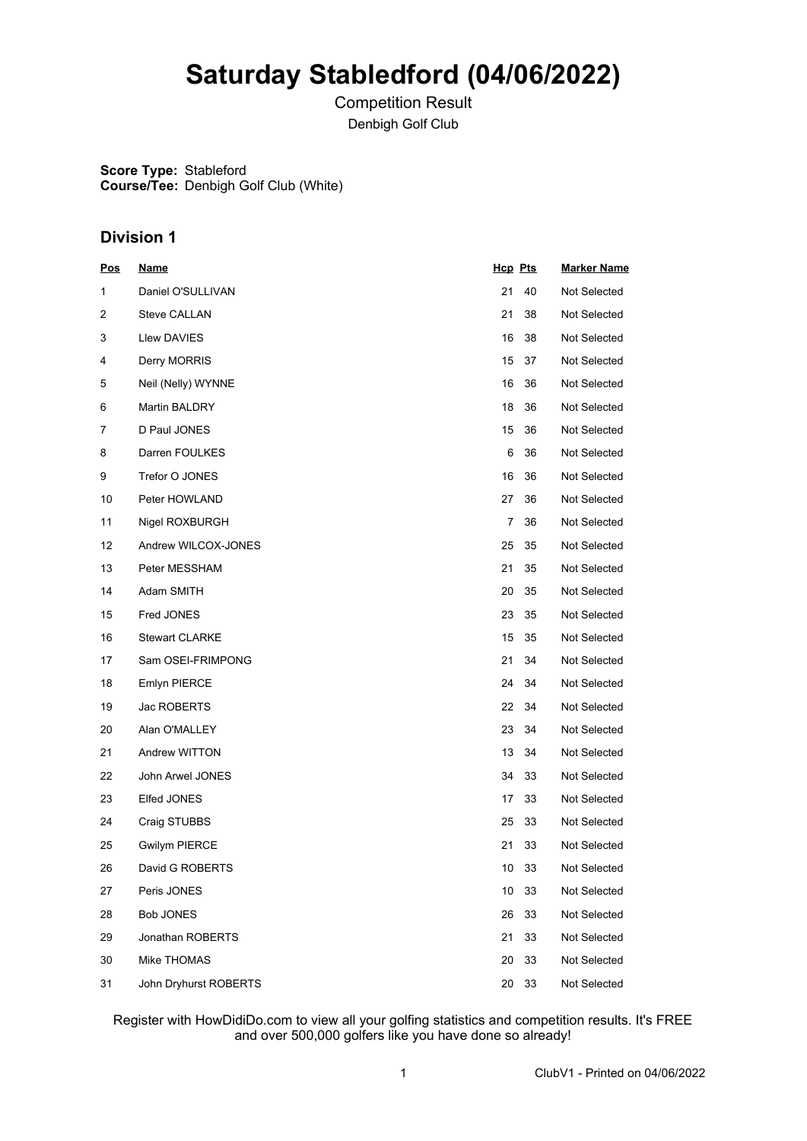# **Saturday Stabledford (04/06/2022)**

Competition Result Denbigh Golf Club

**Score Type:** Stableford **Course/Tee:** Denbigh Golf Club (White)

### **Division 1**

| <u>Pos</u> | <b>Name</b>           | <b>Hcp Pts</b>  |    | <b>Marker Name</b> |
|------------|-----------------------|-----------------|----|--------------------|
| 1          | Daniel O'SULLIVAN     | 21              | 40 | Not Selected       |
| 2          | <b>Steve CALLAN</b>   | 21              | 38 | Not Selected       |
| 3          | <b>Llew DAVIES</b>    | 16              | 38 | Not Selected       |
| 4          | Derry MORRIS          | 15              | 37 | Not Selected       |
| 5          | Neil (Nelly) WYNNE    | 16              | 36 | Not Selected       |
| 6          | Martin BALDRY         | 18              | 36 | Not Selected       |
| 7          | D Paul JONES          | 15              | 36 | Not Selected       |
| 8          | Darren FOULKES        | 6               | 36 | Not Selected       |
| 9          | Trefor O JONES        | 16              | 36 | Not Selected       |
| 10         | Peter HOWLAND         | 27              | 36 | Not Selected       |
| 11         | Nigel ROXBURGH        | 7               | 36 | Not Selected       |
| 12         | Andrew WILCOX-JONES   | 25              | 35 | Not Selected       |
| 13         | Peter MESSHAM         | 21              | 35 | Not Selected       |
| 14         | Adam SMITH            | 20              | 35 | Not Selected       |
| 15         | Fred JONES            | 23              | 35 | Not Selected       |
| 16         | <b>Stewart CLARKE</b> | 15              | 35 | Not Selected       |
| 17         | Sam OSEI-FRIMPONG     | 21              | 34 | Not Selected       |
| 18         | Emlyn PIERCE          | 24              | 34 | Not Selected       |
| 19         | Jac ROBERTS           | 22              | 34 | Not Selected       |
| 20         | Alan O'MALLEY         | 23              | 34 | Not Selected       |
| 21         | Andrew WITTON         | 13              | 34 | Not Selected       |
| 22         | John Arwel JONES      | 34              | 33 | Not Selected       |
| 23         | Elfed JONES           | 17              | 33 | Not Selected       |
| 24         | Craig STUBBS          | 25              | 33 | Not Selected       |
| 25         | <b>Gwilym PIERCE</b>  | 21              | 33 | Not Selected       |
| 26         | David G ROBERTS       | 10 <sub>1</sub> | 33 | Not Selected       |
| 27         | Peris JONES           | 10              | 33 | Not Selected       |
| 28         | Bob JONES             | 26              | 33 | Not Selected       |
| 29         | Jonathan ROBERTS      | 21              | 33 | Not Selected       |
| 30         | Mike THOMAS           | 20              | 33 | Not Selected       |
| 31         | John Dryhurst ROBERTS | 20              | 33 | Not Selected       |

Register with HowDidiDo.com to view all your golfing statistics and competition results. It's FREE and over 500,000 golfers like you have done so already!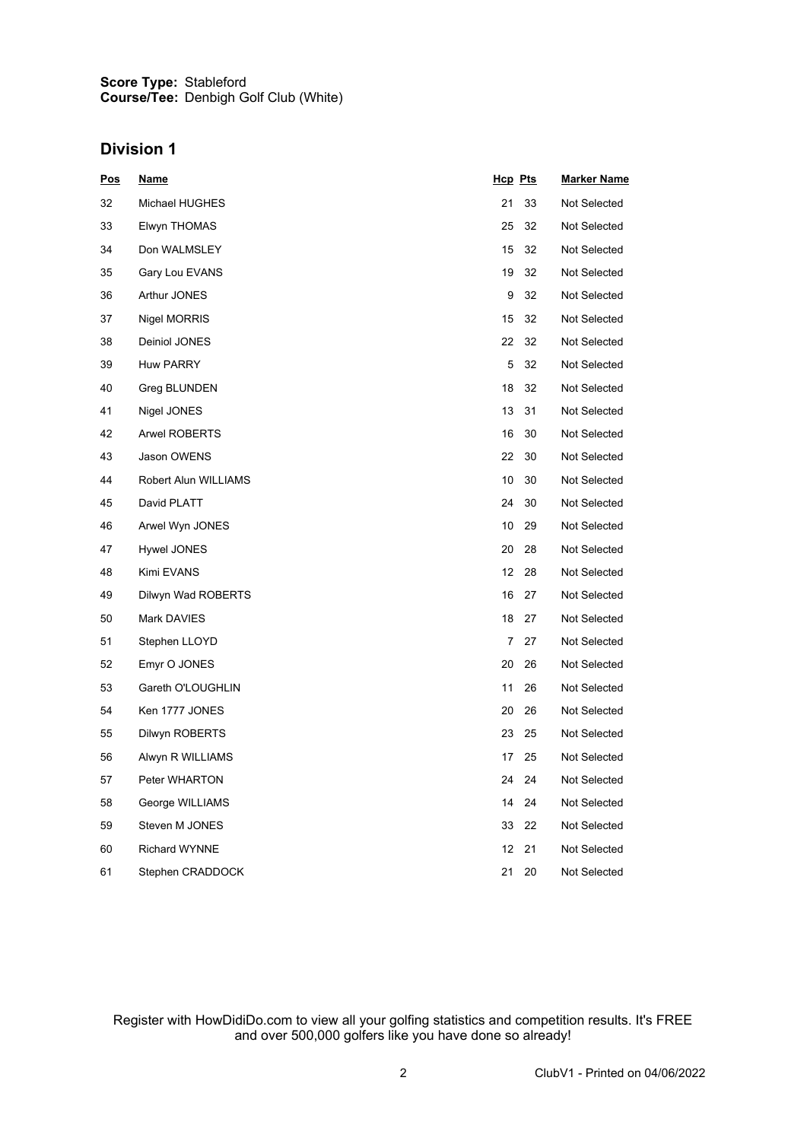#### **Score Type: Course/Tee:** Stableford Denbigh Golf Club (White)

### **Division 1**

| <u>Pos</u> | <u>Name</u>           | <b>Hcp Pts</b> |    | <b>Marker Name</b> |
|------------|-----------------------|----------------|----|--------------------|
| 32         | <b>Michael HUGHES</b> | 21             | 33 | Not Selected       |
| 33         | Elwyn THOMAS          | 25             | 32 | Not Selected       |
| 34         | Don WALMSLEY          | 15             | 32 | Not Selected       |
| 35         | Gary Lou EVANS        | 19             | 32 | Not Selected       |
| 36         | Arthur JONES          | 9              | 32 | Not Selected       |
| 37         | Nigel MORRIS          | 15             | 32 | Not Selected       |
| 38         | Deiniol JONES         | 22             | 32 | Not Selected       |
| 39         | <b>Huw PARRY</b>      | 5              | 32 | Not Selected       |
| 40         | Greg BLUNDEN          | 18             | 32 | Not Selected       |
| 41         | Nigel JONES           | 13             | 31 | Not Selected       |
| 42         | <b>Arwel ROBERTS</b>  | 16             | 30 | Not Selected       |
| 43         | Jason OWENS           | 22             | 30 | Not Selected       |
| 44         | Robert Alun WILLIAMS  | 10             | 30 | Not Selected       |
| 45         | David PLATT           | 24             | 30 | Not Selected       |
| 46         | Arwel Wyn JONES       | 10             | 29 | Not Selected       |
| 47         | Hywel JONES           | 20             | 28 | Not Selected       |
| 48         | Kimi EVANS            | 12             | 28 | Not Selected       |
| 49         | Dilwyn Wad ROBERTS    | 16             | 27 | Not Selected       |
| 50         | Mark DAVIES           | 18             | 27 | Not Selected       |
| 51         | Stephen LLOYD         | 7              | 27 | Not Selected       |
| 52         | Emyr O JONES          | 20             | 26 | Not Selected       |
| 53         | Gareth O'LOUGHLIN     | 11             | 26 | Not Selected       |
| 54         | Ken 1777 JONES        | 20             | 26 | Not Selected       |
| 55         | Dilwyn ROBERTS        | 23             | 25 | Not Selected       |
| 56         | Alwyn R WILLIAMS      | 17             | 25 | Not Selected       |
| 57         | Peter WHARTON         | 24             | 24 | Not Selected       |
| 58         | George WILLIAMS       | 14             | 24 | Not Selected       |
| 59         | Steven M JONES        | 33             | 22 | Not Selected       |
| 60         | <b>Richard WYNNE</b>  | 12             | 21 | Not Selected       |
| 61         | Stephen CRADDOCK      | 21             | 20 | Not Selected       |

Register with HowDidiDo.com to view all your golfing statistics and competition results. It's FREE and over 500,000 golfers like you have done so already!